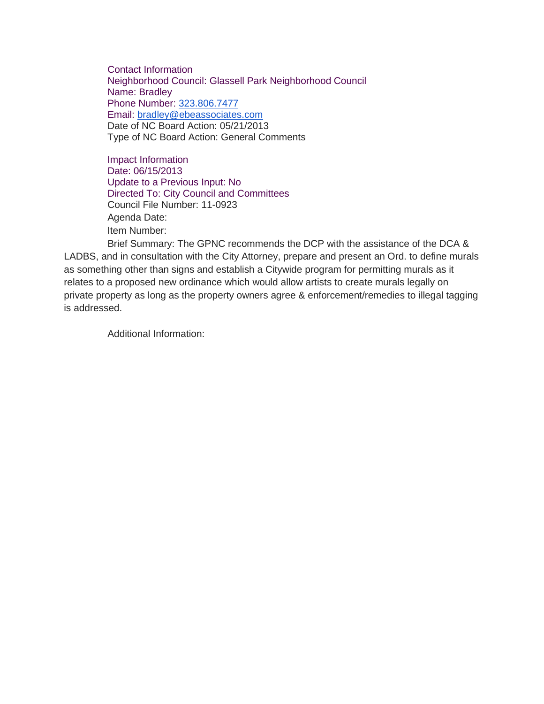Contact Information Neighborhood Council: Glassell Park Neighborhood Council Name: Bradley Phone Number: [323.806.7477](tel:323.806.7477) Email: [bradley@ebeassociates.com](mailto:bradley@ebeassociates.com) Date of NC Board Action: 05/21/2013 Type of NC Board Action: General Comments

Impact Information Date: 06/15/2013 Update to a Previous Input: No Directed To: City Council and Committees Council File Number: 11-0923 Agenda Date: Item Number:

Brief Summary: The GPNC recommends the DCP with the assistance of the DCA & LADBS, and in consultation with the City Attorney, prepare and present an Ord. to define murals as something other than signs and establish a Citywide program for permitting murals as it relates to a proposed new ordinance which would allow artists to create murals legally on private property as long as the property owners agree & enforcement/remedies to illegal tagging is addressed.

Additional Information: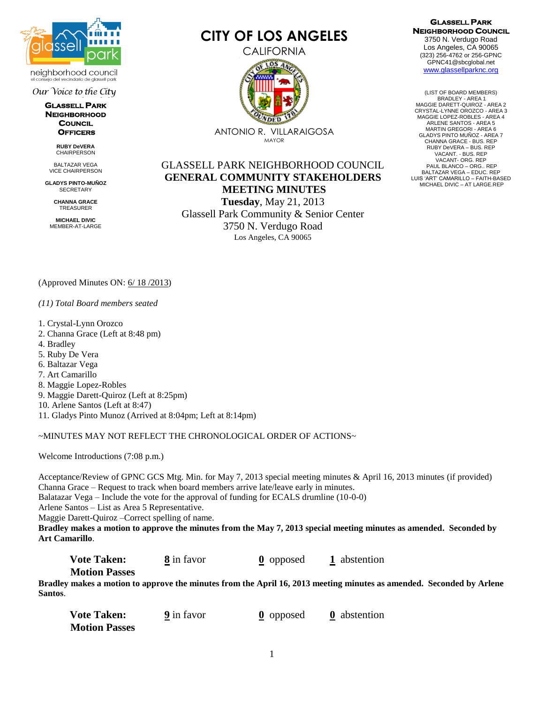

neighborhood council io del vecindario de alassell park

Our Voice to the City

**GLASSELL PARK NEIGHBORHOOD COUNCIL OFFICERS** 

> **RUBY DeVERA CHAIRPERSON**

BALTAZAR VEGA VICE CHAIRPERSON

**GLADYS PINTO-MUÑOZ SECRETARY** 

> **CHANNA GRACE** TREASURER

**MICHAEL DIVIC** MEMBER-AT-LARGE

# **CITY OF LOS ANGELES**

**CALIFORNIA** 



MAYOR

GLASSELL PARK NEIGHBORHOOD COUNCIL **GENERAL COMMUNITY STAKEHOLDERS MEETING MINUTES Tuesday**, May 21, 2013 Glassell Park Community & Senior Center 3750 N. Verdugo Road

Los Angeles, CA 90065

#### **GLASSELL PARK NEIGHBORHOOD COUNCIL**

3750 N. Verdugo Road Los Angeles, CA 90065 (323) 256-4762 or 256-GPNC GPNC41@sbcglobal.net [www.glassellparknc.org](http://www.glassellparknc.org/)

(LIST OF BOARD MEMBERS) BRADLEY - AREA 1 MAGGIE DARETT-QUIROZ - AREA 2 CRYSTAL-LYNNE OROZCO - AREA 3 MAGGIE LOPEZ-ROBLES - AREA 4 ARLENE SANTOS - AREA 5 MARTIN GREGORI - AREA 6 GLADYS PINTO MUÑOZ - AREA 7 CHANNA GRACE - BUS. REP RUBY DeVERA – BUS. REP VACANT. - BUS. REP VACANT- ORG. REP PAUL BLANCO – ORG.. REP BALTAZAR VEGA – EDUC. REP LUIS 'ART' CAMARILLO – FAITH-BASED MICHAEL DIVIC – AT LARGE.REP

(Approved Minutes ON: 6/ 18 /2013)

## *(11) Total Board members seated*

- 1. Crystal-Lynn Orozco
- 2. Channa Grace (Left at 8:48 pm)
- 4. Bradley
- 5. Ruby De Vera
- 6. Baltazar Vega
- 7. Art Camarillo
- 8. Maggie Lopez-Robles
- 9. Maggie Darett-Quiroz (Left at 8:25pm)
- 10. Arlene Santos (Left at 8:47)
- 11. Gladys Pinto Munoz (Arrived at 8:04pm; Left at 8:14pm)

## ~MINUTES MAY NOT REFLECT THE CHRONOLOGICAL ORDER OF ACTIONS~

Welcome Introductions (7:08 p.m.)

Acceptance/Review of GPNC GCS Mtg. Min. for May 7, 2013 special meeting minutes & April 16, 2013 minutes (if provided) Channa Grace – Request to track when board members arrive late/leave early in minutes.

Balatazar Vega – Include the vote for the approval of funding for ECALS drumline (10-0-0)

Arlene Santos – List as Area 5 Representative.

Maggie Darett-Quiroz –Correct spelling of name.

**Bradley makes a motion to approve the minutes from the May 7, 2013 special meeting minutes as amended. Seconded by Art Camarillo**.

**Vote Taken:** 8 in favor **0** opposed 1 abstention  **Motion Passes** 

**Bradley makes a motion to approve the minutes from the April 16, 2013 meeting minutes as amended. Seconded by Arlene Santos**.

| <b>Vote Taken:</b>   | <b>9</b> in favor | $\theta$ opposed | <b>0</b> abstention |
|----------------------|-------------------|------------------|---------------------|
| <b>Motion Passes</b> |                   |                  |                     |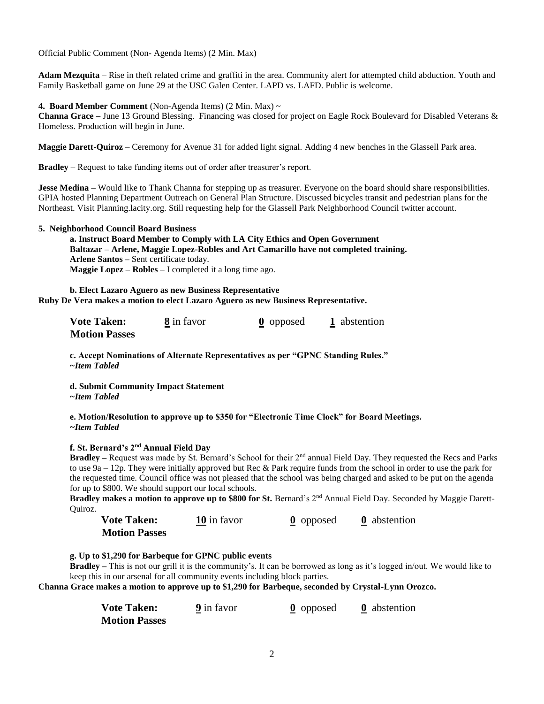Official Public Comment (Non- Agenda Items) (2 Min. Max)

**Adam Mezquita** – Rise in theft related crime and graffiti in the area. Community alert for attempted child abduction. Youth and Family Basketball game on June 29 at the USC Galen Center. LAPD vs. LAFD. Public is welcome.

**4. Board Member Comment** (Non-Agenda Items) (2 Min. Max) ~

**Channa Grace –** June 13 Ground Blessing. Financing was closed for project on Eagle Rock Boulevard for Disabled Veterans & Homeless. Production will begin in June.

**Maggie Darett-Quiroz** – Ceremony for Avenue 31 for added light signal. Adding 4 new benches in the Glassell Park area.

**Bradley** – Request to take funding items out of order after treasurer's report.

**Jesse Medina** – Would like to Thank Channa for stepping up as treasurer. Everyone on the board should share responsibilities. GPIA hosted Planning Department Outreach on General Plan Structure. Discussed bicycles transit and pedestrian plans for the Northeast. Visit Planning.lacity.org. Still requesting help for the Glassell Park Neighborhood Council twitter account.

### **5. Neighborhood Council Board Business**

**a. Instruct Board Member to Comply with LA City Ethics and Open Government Baltazar – Arlene, Maggie Lopez-Robles and Art Camarillo have not completed training. Arlene Santos –** Sent certificate today. **Maggie Lopez – Robles –** I completed it a long time ago.

**b. Elect Lazaro Aguero as new Business Representative Ruby De Vera makes a motion to elect Lazaro Aguero as new Business Representative.** 

| <b>Vote Taken:</b>   | 8 in favor | <b>0</b> opposed | 1 abstention |
|----------------------|------------|------------------|--------------|
| <b>Motion Passes</b> |            |                  |              |

**c. Accept Nominations of Alternate Representatives as per "GPNC Standing Rules."** *~Item Tabled*

**d. Submit Community Impact Statement** *~Item Tabled*

#### **e. Motion/Resolution to approve up to \$350 for "Electronic Time Clock" for Board Meetings.** *~Item Tabled*

## **f. St. Bernard's 2nd Annual Field Day**

**Bradley –** Request was made by St. Bernard's School for their 2nd annual Field Day. They requested the Recs and Parks to use 9a – 12p. They were initially approved but Rec & Park require funds from the school in order to use the park for the requested time. Council office was not pleased that the school was being charged and asked to be put on the agenda for up to \$800. We should support our local schools.

**Bradley makes a motion to approve up to \$800 for St.** Bernard's 2<sup>nd</sup> Annual Field Day. Seconded by Maggie Darett-Quiroz.

| <b>Vote Taken:</b>   | 10 in favor | $\theta$ opposed | <b>0</b> abstention |
|----------------------|-------------|------------------|---------------------|
| <b>Motion Passes</b> |             |                  |                     |

**g. Up to \$1,290 for Barbeque for GPNC public events**

**Bradley –** This is not our grill it is the community's. It can be borrowed as long as it's logged in/out. We would like to keep this in our arsenal for all community events including block parties.

**Channa Grace makes a motion to approve up to \$1,290 for Barbeque, seconded by Crystal-Lynn Orozco.**

| <b>Vote Taken:</b>   | <b>9</b> in favor | $\theta$ opposed | <b>0</b> abstention |
|----------------------|-------------------|------------------|---------------------|
| <b>Motion Passes</b> |                   |                  |                     |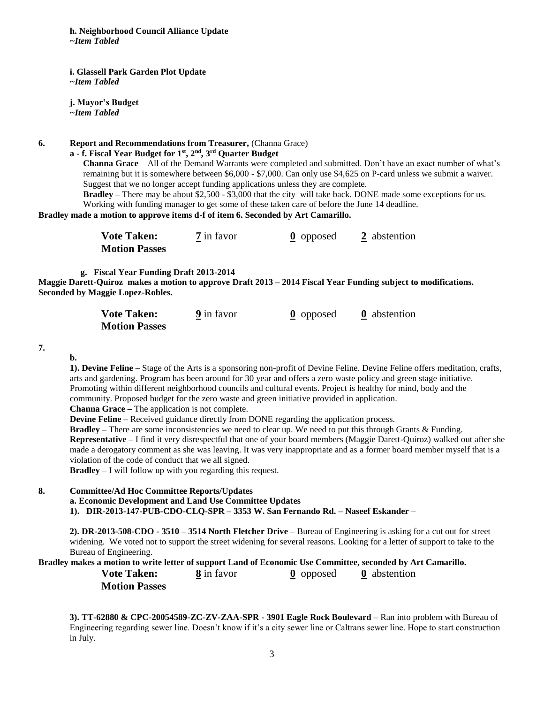**h. Neighborhood Council Alliance Update** *~Item Tabled*

**i. Glassell Park Garden Plot Update** *~Item Tabled*

**j. Mayor's Budget** *~Item Tabled*

**6. Report and Recommendations from Treasurer,** (Channa Grace)

## **a - f. Fiscal Year Budget for 1st, 2nd, 3rd Quarter Budget**

**Channa Grace** – All of the Demand Warrants were completed and submitted. Don't have an exact number of what's remaining but it is somewhere between \$6,000 - \$7,000. Can only use \$4,625 on P-card unless we submit a waiver. Suggest that we no longer accept funding applications unless they are complete.

**Bradley** *–* There may be about \$2,500 - \$3,000 that the city will take back. DONE made some exceptions for us. Working with funding manager to get some of these taken care of before the June 14 deadline.

**Bradley made a motion to approve items d-f of item 6. Seconded by Art Camarillo.** 

| <b>Vote Taken:</b>   | <b>7</b> in favor | $\theta$ opposed | 2 abstention |
|----------------------|-------------------|------------------|--------------|
| <b>Motion Passes</b> |                   |                  |              |

 **g. Fiscal Year Funding Draft 2013-2014**

**Maggie Darett-Quiroz makes a motion to approve Draft 2013 – 2014 Fiscal Year Funding subject to modifications. Seconded by Maggie Lopez-Robles.** 

| <b>Vote Taken:</b>   | <b>9</b> in favor | $\theta$ opposed | <b>0</b> abstention |
|----------------------|-------------------|------------------|---------------------|
| <b>Motion Passes</b> |                   |                  |                     |

**7.** 

**b.**

**1). Devine Feline –** Stage of the Arts is a sponsoring non-profit of Devine Feline. Devine Feline offers meditation, crafts, arts and gardening. Program has been around for 30 year and offers a zero waste policy and green stage initiative. Promoting within different neighborhood councils and cultural events. Project is healthy for mind, body and the community. Proposed budget for the zero waste and green initiative provided in application.

**Channa Grace –** The application is not complete.

**Devine Feline –** Received guidance directly from DONE regarding the application process.

**Bradley –** There are some inconsistencies we need to clear up. We need to put this through Grants & Funding.

**Representative –** I find it very disrespectful that one of your board members (Maggie Darett-Quiroz) walked out after she made a derogatory comment as she was leaving. It was very inappropriate and as a former board member myself that is a violation of the code of conduct that we all signed.

**Bradley –** I will follow up with you regarding this request.

## **8. Committee/Ad Hoc Committee Reports/Updates a. Economic Development and Land Use Committee Updates 1). DIR-2013-147-PUB-CDO-CLQ-SPR – 3353 W. San Fernando Rd. – Naseef Eskander** –

**2). DR-2013-508-CDO - 3510 – 3514 North Fletcher Drive –** Bureau of Engineering is asking for a cut out for street widening. We voted not to support the street widening for several reasons. Looking for a letter of support to take to the Bureau of Engineering.

**Bradley makes a motion to write letter of support Land of Economic Use Committee, seconded by Art Camarillo.**

**Vote Taken:** 8 in favor **0** opposed **0** abstention  **Motion Passes** 

**3). TT-62880 & CPC-20054589-ZC-ZV-ZAA-SPR - 3901 Eagle Rock Boulevard –** Ran into problem with Bureau of Engineering regarding sewer line. Doesn't know if it's a city sewer line or Caltrans sewer line. Hope to start construction in July.